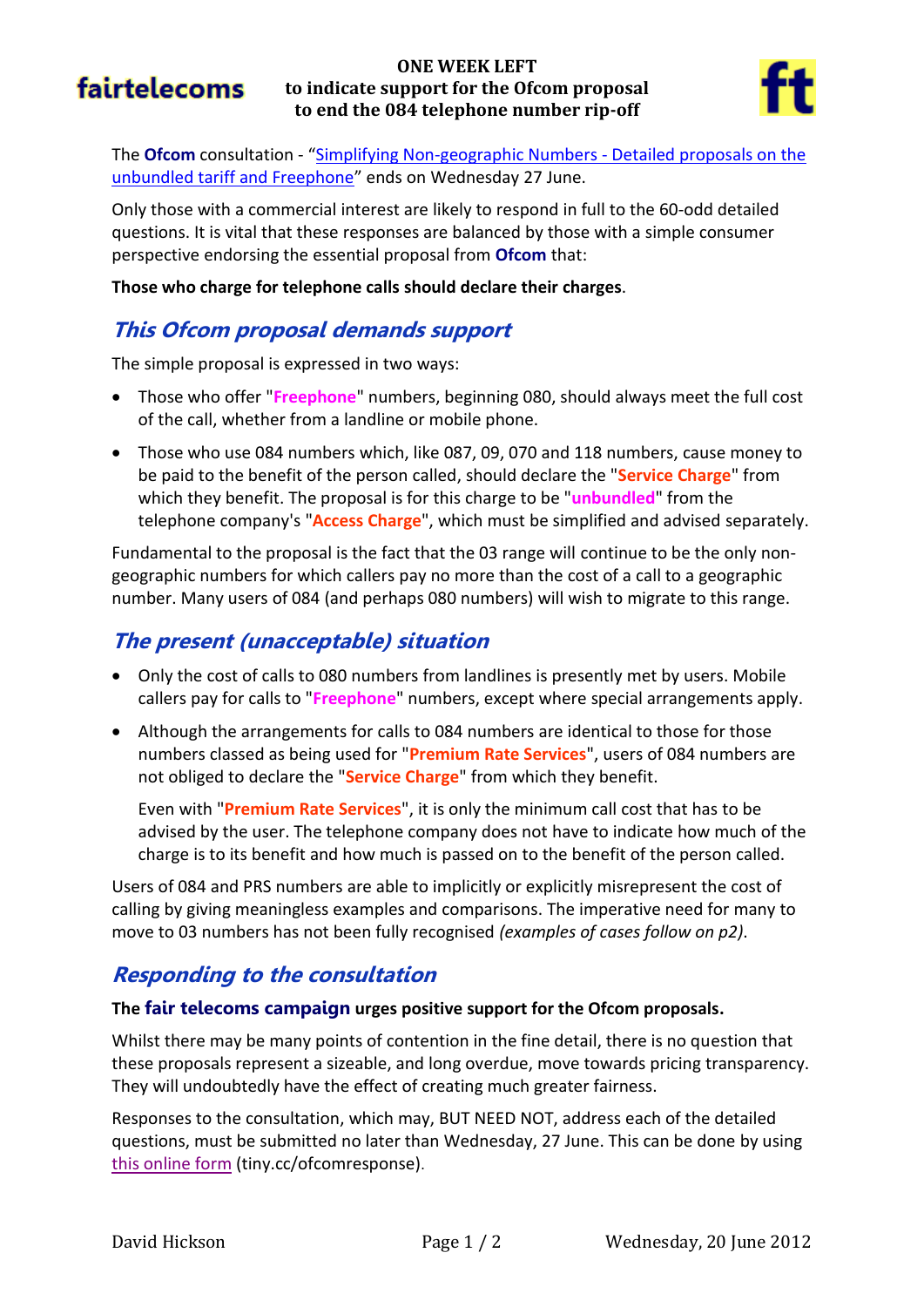# fairtelecoms

### **ONE WEEK LEFT to indicate support for the Ofcom proposal to end the 084 telephone number rip-off**



The **Ofcom** consultation - "[Simplifying Non-geographic Numbers -](http://stakeholders.ofcom.org.uk/consultations/simplifying-non-geographic-no/) Detailed proposals on the [unbundled tariff and Freephone](http://stakeholders.ofcom.org.uk/consultations/simplifying-non-geographic-no/)" ends on Wednesday 27 June.

Only those with a commercial interest are likely to respond in full to the 60-odd detailed questions. It is vital that these responses are balanced by those with a simple consumer perspective endorsing the essential proposal from **Ofcom** that:

**Those who charge for telephone calls should declare their charges**.

## **This Ofcom proposal demands support**

The simple proposal is expressed in two ways:

- Those who offer "**Freephone**" numbers, beginning 080, should always meet the full cost of the call, whether from a landline or mobile phone.
- Those who use 084 numbers which, like 087, 09, 070 and 118 numbers, cause money to be paid to the benefit of the person called, should declare the "**Service Charge**" from which they benefit. The proposal is for this charge to be "**unbundled**" from the telephone company's "**Access Charge**", which must be simplified and advised separately.

Fundamental to the proposal is the fact that the 03 range will continue to be the only nongeographic numbers for which callers pay no more than the cost of a call to a geographic number. Many users of 084 (and perhaps 080 numbers) will wish to migrate to this range.

# **The present (unacceptable) situation**

- Only the cost of calls to 080 numbers from landlines is presently met by users. Mobile callers pay for calls to "**Freephone**" numbers, except where special arrangements apply.
- Although the arrangements for calls to 084 numbers are identical to those for those numbers classed as being used for "**Premium Rate Services**", users of 084 numbers are not obliged to declare the "**Service Charge**" from which they benefit.

Even with "**Premium Rate Services**", it is only the minimum call cost that has to be advised by the user. The telephone company does not have to indicate how much of the charge is to its benefit and how much is passed on to the benefit of the person called.

Users of 084 and PRS numbers are able to implicitly or explicitly misrepresent the cost of calling by giving meaningless examples and comparisons. The imperative need for many to move to 03 numbers has not been fully recognised *(examples of cases follow on p2)*.

# **Responding to the consultation**

### **The fair telecoms campaign urges positive support for the Ofcom proposals.**

Whilst there may be many points of contention in the fine detail, there is no question that these proposals represent a sizeable, and long overdue, move towards pricing transparency. They will undoubtedly have the effect of creating much greater fairness.

Responses to the consultation, which may, BUT NEED NOT, address each of the detailed questions, must be submitted no later than Wednesday, 27 June. This can be done by using [this online form](https://stakeholders.ofcom.org.uk/consultations/simplifying-non-geographic-no/howtorespond/form) (tiny.cc/ofcomresponse).